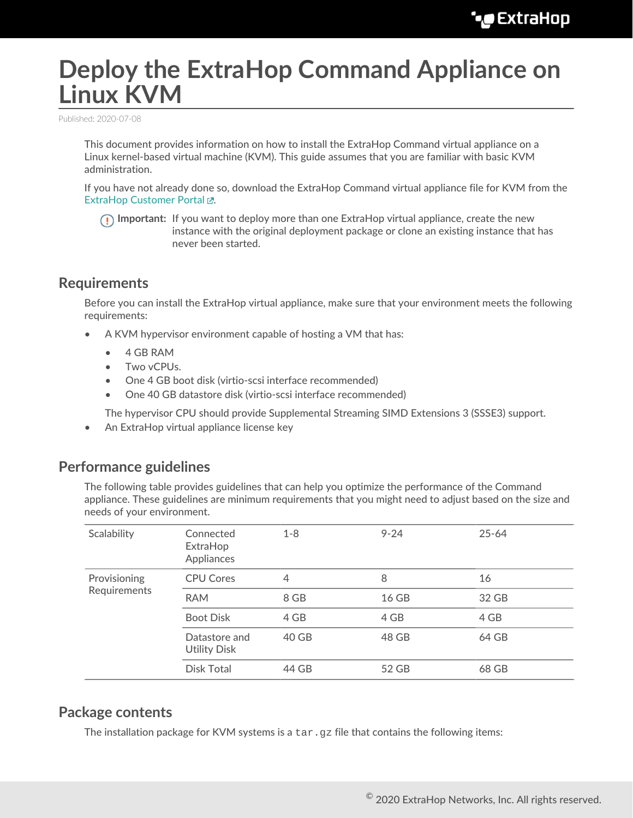# **Deploy the ExtraHop Command Appliance on Linux KVM**

Published: 2020-07-08

This document provides information on how to install the ExtraHop Command virtual appliance on a Linux kernel-based virtual machine (KVM). This guide assumes that you are familiar with basic KVM administration.

If you have not already done so, download the ExtraHop Command virtual appliance file for KVM from the ExtraHop Customer Portal E.

**Important:** If you want to deploy more than one ExtraHop virtual appliance, create the new instance with the original deployment package or clone an existing instance that has never been started.

## **Requirements**

Before you can install the ExtraHop virtual appliance, make sure that your environment meets the following requirements:

- A KVM hypervisor environment capable of hosting a VM that has:
	- 4 GB RAM
	- Two vCPUs.
	- One 4 GB boot disk (virtio-scsi interface recommended)
	- One 40 GB datastore disk (virtio-scsi interface recommended)

The hypervisor CPU should provide Supplemental Streaming SIMD Extensions 3 (SSSE3) support.

• An ExtraHop virtual appliance license key

## **Performance guidelines**

The following table provides guidelines that can help you optimize the performance of the Command appliance. These guidelines are minimum requirements that you might need to adjust based on the size and needs of your environment.

| Scalability                  | Connected<br>ExtraHop<br>Appliances  | $1 - 8$ | $9 - 24$ | $25 - 64$ |
|------------------------------|--------------------------------------|---------|----------|-----------|
| Provisioning<br>Requirements | <b>CPU Cores</b>                     | 4       | 8        | 16        |
|                              | <b>RAM</b>                           | 8 GB    | 16 GB    | 32 GB     |
|                              | <b>Boot Disk</b>                     | 4 GB    | 4 GB     | 4 GB      |
|                              | Datastore and<br><b>Utility Disk</b> | 40 GB   | 48 GB    | 64 GB     |
|                              | Disk Total                           | 44 GB   | 52 GB    | 68 GB     |
|                              |                                      |         |          |           |

## **Package contents**

The installation package for KVM systems is a  $\tan zg$  file that contains the following items: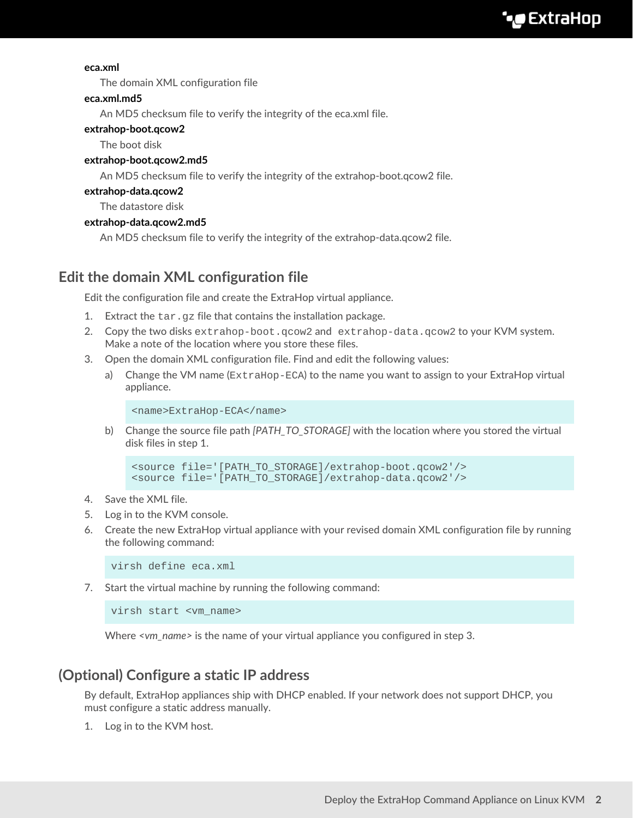#### **eca.xml**

The domain XML configuration file

#### **eca.xml.md5**

An MD5 checksum file to verify the integrity of the eca.xml file.

#### **extrahop-boot.qcow2**

The boot disk

#### **extrahop-boot.qcow2.md5**

An MD5 checksum file to verify the integrity of the extrahop-boot.qcow2 file.

#### **extrahop-data.qcow2**

The datastore disk

#### **extrahop-data.qcow2.md5**

An MD5 checksum file to verify the integrity of the extrahop-data.qcow2 file.

# **Edit the domain XML configuration file**

Edit the configuration file and create the ExtraHop virtual appliance.

- 1. Extract the  $\tan\, gz$  file that contains the installation package.
- 2. Copy the two disks extrahop-boot.qcow2 and extrahop-data.qcow2 to your KVM system. Make a note of the location where you store these files.
- 3. Open the domain XML configuration file. Find and edit the following values:
	- a) Change the VM name (ExtraHop-ECA) to the name you want to assign to your ExtraHop virtual appliance.

```
<name>ExtraHop-ECA</name>
```
b) Change the source file path *[PATH\_TO\_STORAGE]* with the location where you stored the virtual disk files in step 1.

```
<source file='[PATH_TO_STORAGE]/extrahop-boot.qcow2'/>
<source file='[PATH_TO_STORAGE]/extrahop-data.qcow2'/>
```
- 4. Save the XML file.
- 5. Log in to the KVM console.
- 6. Create the new ExtraHop virtual appliance with your revised domain XML configuration file by running the following command:

virsh define eca.xml

7. Start the virtual machine by running the following command:

virsh start <vm\_name>

Where *<vm\_name>* is the name of your virtual appliance you configured in step 3.

# **(Optional) Configure a static IP address**

By default, ExtraHop appliances ship with DHCP enabled. If your network does not support DHCP, you must configure a static address manually.

1. Log in to the KVM host.